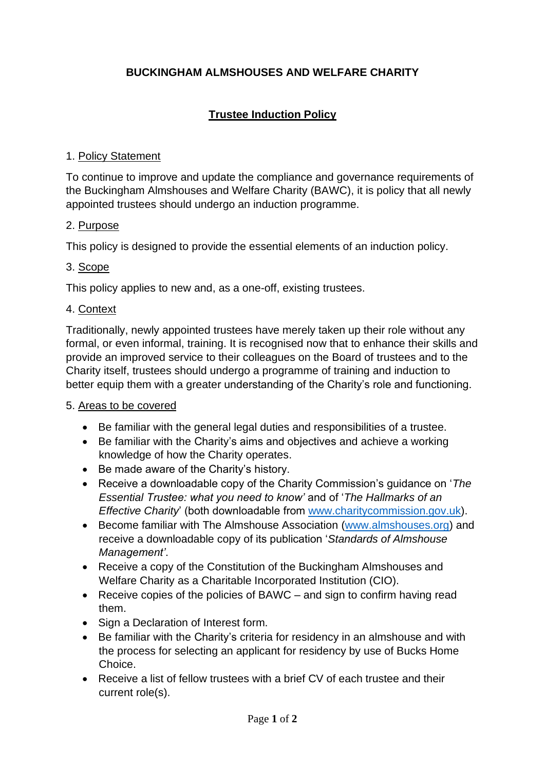# **BUCKINGHAM ALMSHOUSES AND WELFARE CHARITY**

# **Trustee Induction Policy**

### 1. Policy Statement

To continue to improve and update the compliance and governance requirements of the Buckingham Almshouses and Welfare Charity (BAWC), it is policy that all newly appointed trustees should undergo an induction programme.

### 2. Purpose

This policy is designed to provide the essential elements of an induction policy.

### 3. Scope

This policy applies to new and, as a one-off, existing trustees.

### 4. Context

Traditionally, newly appointed trustees have merely taken up their role without any formal, or even informal, training. It is recognised now that to enhance their skills and provide an improved service to their colleagues on the Board of trustees and to the Charity itself, trustees should undergo a programme of training and induction to better equip them with a greater understanding of the Charity's role and functioning.

#### 5. Areas to be covered

- Be familiar with the general legal duties and responsibilities of a trustee.
- Be familiar with the Charity's aims and objectives and achieve a working knowledge of how the Charity operates.
- Be made aware of the Charity's history.
- Receive a downloadable copy of the Charity Commission's guidance on '*The Essential Trustee: what you need to know'* and of '*The Hallmarks of an Effective Charity*' (both downloadable from [www.charitycommission.gov.uk\)](http://www.charitycommission.gov.uk/).
- Become familiar with The Almshouse Association [\(www.almshouses.org\)](http://www.almshouses.org/) and receive a downloadable copy of its publication '*Standards of Almshouse Management'*.
- Receive a copy of the Constitution of the Buckingham Almshouses and Welfare Charity as a Charitable Incorporated Institution (CIO).
- Receive copies of the policies of BAWC and sign to confirm having read them.
- Sign a Declaration of Interest form.
- Be familiar with the Charity's criteria for residency in an almshouse and with the process for selecting an applicant for residency by use of Bucks Home Choice.
- Receive a list of fellow trustees with a brief CV of each trustee and their current role(s).